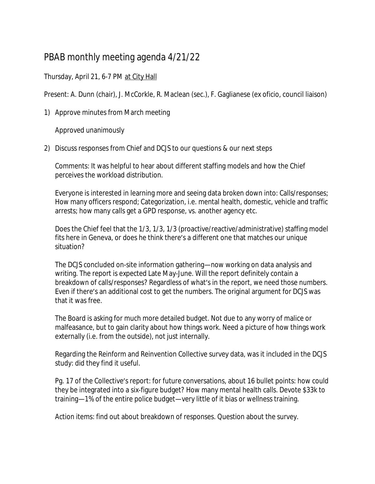## PBAB monthly meeting agenda 4/21/22

## Thursday, April 21, 6-7 PM at City Hall

Present: A. Dunn (chair), J. McCorkle, R. Maclean (sec.), F. Gaglianese (ex oficio, council liaison)

1) Approve minutes from March meeting

Approved unanimously

2) Discuss responses from Chief and DCJS to our questions & our next steps

Comments: It was helpful to hear about different staffing models and how the Chief perceives the workload distribution.

Everyone is interested in learning more and seeing data broken down into: Calls/responses; How many officers respond; Categorization, i.e. mental health, domestic, vehicle and traffic arrests; how many calls get a GPD response, vs. another agency etc.

Does the Chief feel that the 1/3, 1/3, 1/3 (proactive/reactive/administrative) staffing model fits here in Geneva, or does he think there's a different one that matches our unique situation?

The DCJS concluded on-site information gathering—now working on data analysis and writing. The report is expected Late May-June. Will the report definitely contain a breakdown of calls/responses? Regardless of what's in the report, we need those numbers. Even if there's an additional cost to get the numbers. The original argument for DCJS was that it was free.

The Board is asking for much more detailed budget. Not due to any worry of malice or malfeasance, but to gain clarity about how things work. Need a picture of how things work externally (i.e. from the outside), not just internally.

Regarding the Reinform and Reinvention Collective survey data, was it included in the DCJS study: did they find it useful.

Pg. 17 of the Collective's report: for future conversations, about 16 bullet points: how could they be integrated into a six-figure budget? How many mental health calls. Devote \$33k to training—1% of the entire police budget—very little of it bias or wellness training.

Action items: find out about breakdown of responses. Question about the survey.